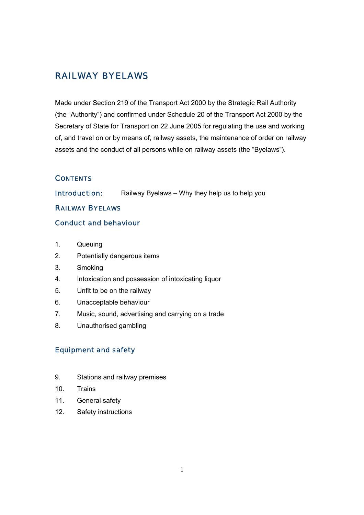# RAILWAY BYELAWS

Made under Section 219 of the Transport Act 2000 by the Strategic Rail Authority (the "Authority") and confirmed under Schedule 20 of the Transport Act 2000 by the Secretary of State for Transport on 22 June 2005 for regulating the use and working of, and travel on or by means of, railway assets, the maintenance of order on railway assets and the conduct of all persons while on railway assets (the "Byelaws").

#### **CONTENTS**

**Introduction:** Railway Byelaws – Why they help us to help you

#### RAILWAY BYELAWS

### Conduct and behaviour

- 1. Queuing
- 2. Potentially dangerous items
- 3. Smoking
- 4. Intoxication and possession of intoxicating liquor
- 5. Unfit to be on the railway
- 6. Unacceptable behaviour
- 7. Music, sound, advertising and carrying on a trade
- 8. Unauthorised gambling

#### Equipment and safety

- 9. Stations and railway premises
- 10. Trains
- 11. General safety
- 12. Safety instructions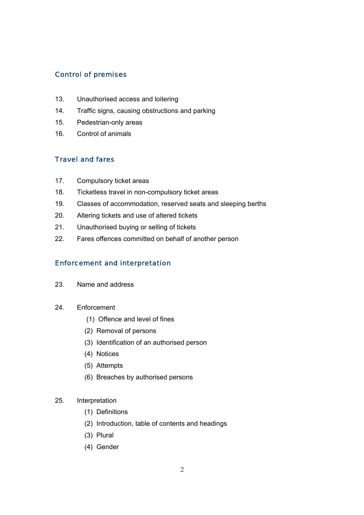# Control of premises

- 13. Unauthorised access and loitering
- 14. Traffic signs, causing obstructions and parking
- 15. Pedestrian-only areas
- 16. Control of animals

# Travel and fares

- 17. Compulsory ticket areas
- 18. Ticketless travel in non-compulsory ticket areas
- 19. Classes of accommodation, reserved seats and sleeping berths
- 20. Altering tickets and use of altered tickets
- 21. Unauthorised buying or selling of tickets
- 22. Fares offences committed on behalf of another person

# Enforcement and interpretation

- 23. Name and address
- 24. Enforcement
	- (1) Offence and level of fines
	- (2) Removal of persons
	- (3) Identification of an authorised person
	- (4) Notices
	- (5) Attempts
	- (6) Breaches by authorised persons

#### 25. Interpretation

- (1) Definitions
- (2) Introduction, table of contents and headings
- (3) Plural
- (4) Gender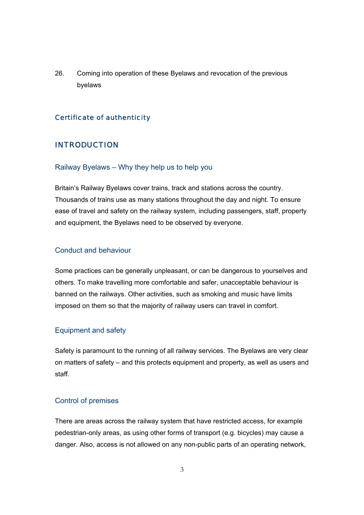26. Coming into operation of these Byelaws and revocation of the previous byelaws

## Certificate of authenticity

### INTRODUCTION

#### Railway Byelaws – Why they help us to help you

Britain's Railway Byelaws cover trains, track and stations across the country. Thousands of trains use as many stations throughout the day and night. To ensure ease of travel and safety on the railway system, including passengers, staff, property and equipment, the Byelaws need to be observed by everyone.

#### Conduct and behaviour

Some practices can be generally unpleasant, or can be dangerous to yourselves and others. To make travelling more comfortable and safer, unacceptable behaviour is banned on the railways. Other activities, such as smoking and music have limits imposed on them so that the majority of railway users can travel in comfort.

#### Equipment and safety

Safety is paramount to the running of all railway services. The Byelaws are very clear on matters of safety – and this protects equipment and property, as well as users and staff.

#### Control of premises

There are areas across the railway system that have restricted access, for example pedestrian-only areas, as using other forms of transport (e.g. bicycles) may cause a danger. Also, access is not allowed on any non-public parts of an operating network,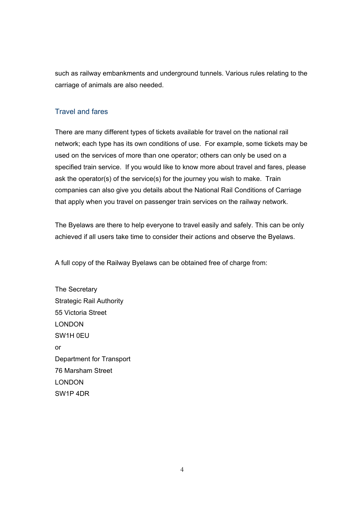such as railway embankments and underground tunnels. Various rules relating to the carriage of animals are also needed.

#### Travel and fares

There are many different types of tickets available for travel on the national rail network; each type has its own conditions of use. For example, some tickets may be used on the services of more than one operator; others can only be used on a specified train service.If you would like to know more about travel and fares, please ask the operator(s) of the service(s) for the journey you wish to make. Train companies can also give you details about the National Rail Conditions of Carriage that apply when you travel on passenger train services on the railway network.

The Byelaws are there to help everyone to travel easily and safely. This can be only achieved if all users take time to consider their actions and observe the Byelaws.

A full copy of the Railway Byelaws can be obtained free of charge from:

The Secretary Strategic Rail Authority 55 Victoria Street LONDON SW1H 0EU or Department for Transport 76 Marsham Street LONDON SW1P 4DR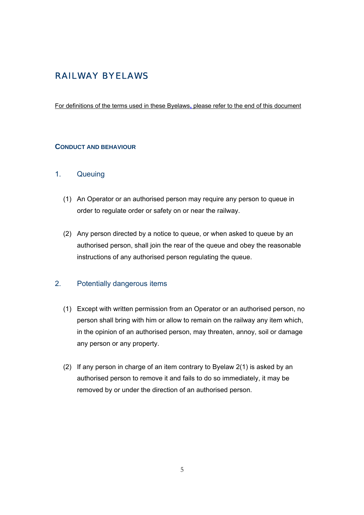# RAILWAY BYELAWS

#### For definitions of the terms used in these Byelaws**,** please refer to the end of this document

#### **CONDUCT AND BEHAVIOUR**

### 1. Queuing

- (1) An Operator or an authorised person may require any person to queue in order to regulate order or safety on or near the railway.
- (2) Any person directed by a notice to queue, or when asked to queue by an authorised person, shall join the rear of the queue and obey the reasonable instructions of any authorised person regulating the queue.

# 2. Potentially dangerous items

- (1) Except with written permission from an Operator or an authorised person, no person shall bring with him or allow to remain on the railway any item which, in the opinion of an authorised person, may threaten, annoy, soil or damage any person or any property.
- (2) If any person in charge of an item contrary to Byelaw 2(1) is asked by an authorised person to remove it and fails to do so immediately, it may be removed by or under the direction of an authorised person.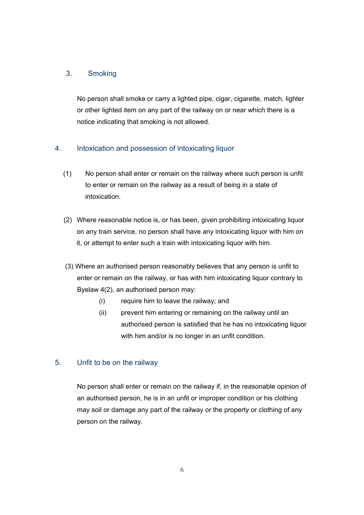# 3. Smoking

No person shall smoke or carry a lighted pipe, cigar, cigarette, match, lighter or other lighted item on any part of the railway on or near which there is a notice indicating that smoking is not allowed.

# 4. Intoxication and possession of intoxicating liquor

- (1) No person shall enter or remain on the railway where such person is unfit to enter or remain on the railway as a result of being in a state of intoxication.
- (2) Where reasonable notice is, or has been, given prohibiting intoxicating liquor on any train service, no person shall have any intoxicating liquor with him on it, or attempt to enter such a train with intoxicating liquor with him.
- (3) Where an authorised person reasonably believes that any person is unfit to enter or remain on the railway, or has with him intoxicating liquor contrary to Byelaw 4(2), an authorised person may:
	- (i) require him to leave the railway; and
	- (ii) prevent him entering or remaining on the railway until an authorised person is satisfied that he has no intoxicating liquor with him and/or is no longer in an unfit condition.

# 5. Unfit to be on the railway

No person shall enter or remain on the railway if, in the reasonable opinion of an authorised person, he is in an unfit or improper condition or his clothing may soil or damage any part of the railway or the property or clothing of any person on the railway.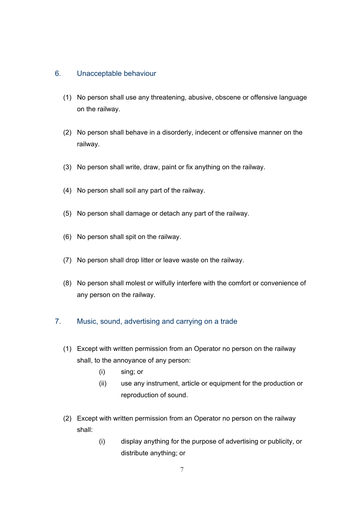#### 6. Unacceptable behaviour

- (1) No person shall use any threatening, abusive, obscene or offensive language on the railway.
- (2) No person shall behave in a disorderly, indecent or offensive manner on the railway.
- (3) No person shall write, draw, paint or fix anything on the railway.
- (4) No person shall soil any part of the railway.
- (5) No person shall damage or detach any part of the railway.
- (6) No person shall spit on the railway.
- (7) No person shall drop litter or leave waste on the railway.
- (8) No person shall molest or wilfully interfere with the comfort or convenience of any person on the railway.

#### 7. Music, sound, advertising and carrying on a trade

- (1) Except with written permission from an Operator no person on the railway shall, to the annoyance of any person:
	- (i) sing; or
	- (ii) use any instrument, article or equipment for the production or reproduction of sound.
- (2) Except with written permission from an Operator no person on the railway shall:
	- (i) display anything for the purpose of advertising or publicity, or distribute anything; or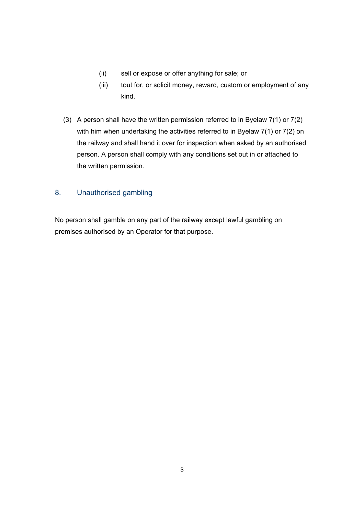- (ii) sell or expose or offer anything for sale; or
- (iii) tout for, or solicit money, reward, custom or employment of any kind.
- (3) A person shall have the written permission referred to in Byelaw 7(1) or 7(2) with him when undertaking the activities referred to in Byelaw 7(1) or 7(2) on the railway and shall hand it over for inspection when asked by an authorised person. A person shall comply with any conditions set out in or attached to the written permission.

# 8. Unauthorised gambling

No person shall gamble on any part of the railway except lawful gambling on premises authorised by an Operator for that purpose.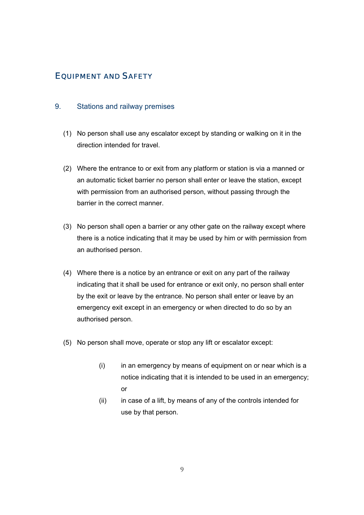# EQUIPMENT AND SAFETY

#### 9. Stations and railway premises

- (1) No person shall use any escalator except by standing or walking on it in the direction intended for travel.
- (2) Where the entrance to or exit from any platform or station is via a manned or an automatic ticket barrier no person shall enter or leave the station, except with permission from an authorised person, without passing through the barrier in the correct manner.
- (3) No person shall open a barrier or any other gate on the railway except where there is a notice indicating that it may be used by him or with permission from an authorised person.
- (4) Where there is a notice by an entrance or exit on any part of the railway indicating that it shall be used for entrance or exit only, no person shall enter by the exit or leave by the entrance. No person shall enter or leave by an emergency exit except in an emergency or when directed to do so by an authorised person.
- (5) No person shall move, operate or stop any lift or escalator except:
	- (i) in an emergency by means of equipment on or near which is a notice indicating that it is intended to be used in an emergency; or
	- (ii) in case of a lift, by means of any of the controls intended for use by that person.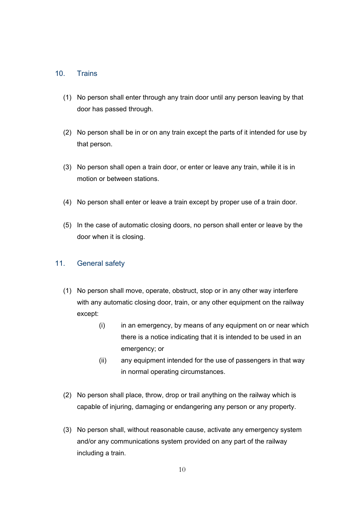#### 10. Trains

- (1) No person shall enter through any train door until any person leaving by that door has passed through.
- (2) No person shall be in or on any train except the parts of it intended for use by that person.
- (3) No person shall open a train door, or enter or leave any train, while it is in motion or between stations.
- (4) No person shall enter or leave a train except by proper use of a train door.
- (5) In the case of automatic closing doors, no person shall enter or leave by the door when it is closing.

#### 11. General safety

- (1) No person shall move, operate, obstruct, stop or in any other way interfere with any automatic closing door, train, or any other equipment on the railway except:
	- (i) in an emergency, by means of any equipment on or near which there is a notice indicating that it is intended to be used in an emergency; or
	- (ii) any equipment intended for the use of passengers in that way in normal operating circumstances.
- (2) No person shall place, throw, drop or trail anything on the railway which is capable of injuring, damaging or endangering any person or any property.
- (3) No person shall, without reasonable cause, activate any emergency system and/or any communications system provided on any part of the railway including a train.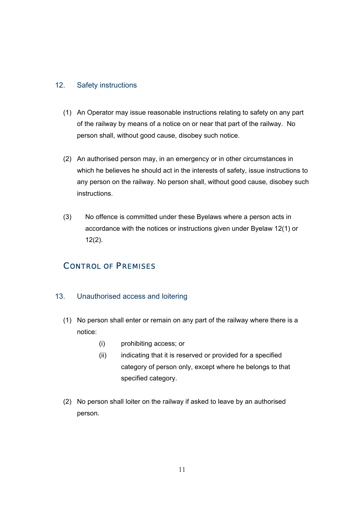### 12. Safety instructions

- (1) An Operator may issue reasonable instructions relating to safety on any part of the railway by means of a notice on or near that part of the railway. No person shall, without good cause, disobey such notice.
- (2) An authorised person may, in an emergency or in other circumstances in which he believes he should act in the interests of safety, issue instructions to any person on the railway. No person shall, without good cause, disobey such instructions.
- (3) No offence is committed under these Byelaws where a person acts in accordance with the notices or instructions given under Byelaw 12(1) or 12(2).

# CONTROL OF PREMISES

#### 13. Unauthorised access and loitering

- (1) No person shall enter or remain on any part of the railway where there is a notice:
	- (i) prohibiting access; or
	- (ii) indicating that it is reserved or provided for a specified category of person only, except where he belongs to that specified category.
- (2) No person shall loiter on the railway if asked to leave by an authorised person.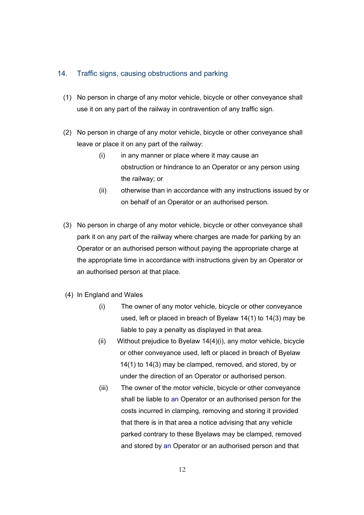#### 14. Traffic signs, causing obstructions and parking

- (1) No person in charge of any motor vehicle, bicycle or other conveyance shall use it on any part of the railway in contravention of any traffic sign.
- (2) No person in charge of any motor vehicle, bicycle or other conveyance shall leave or place it on any part of the railway:
	- (i) in any manner or place where it may cause an obstruction or hindrance to an Operator or any person using the railway; or
	- (ii) otherwise than in accordance with any instructions issued by or on behalf of an Operator or an authorised person.
- (3) No person in charge of any motor vehicle, bicycle or other conveyance shall park it on any part of the railway where charges are made for parking by an Operator or an authorised person without paying the appropriate charge at the appropriate time in accordance with instructions given by an Operator or an authorised person at that place.
- (4) In England and Wales
	- (i) The owner of any motor vehicle, bicycle or other conveyance used, left or placed in breach of Byelaw 14(1) to 14(3) may be liable to pay a penalty as displayed in that area.
	- (ii) Without prejudice to Byelaw 14(4)(i), any motor vehicle, bicycle or other conveyance used, left or placed in breach of Byelaw 14(1) to 14(3) may be clamped, removed, and stored, by or under the direction of an Operator or authorised person.
	- (iii) The owner of the motor vehicle, bicycle or other conveyance shall be liable to an Operator or an authorised person for the costs incurred in clamping, removing and storing it provided that there is in that area a notice advising that any vehicle parked contrary to these Byelaws may be clamped, removed and stored by an Operator or an authorised person and that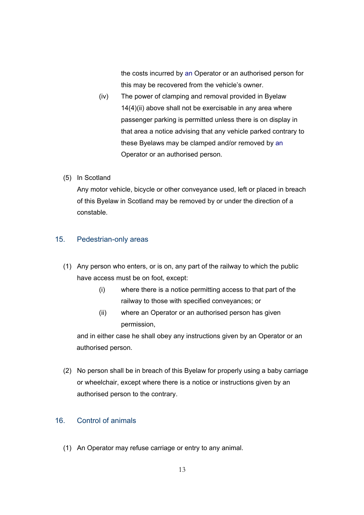the costs incurred by an Operator or an authorised person for this may be recovered from the vehicle's owner.

- (iv) The power of clamping and removal provided in Byelaw 14(4)(ii) above shall not be exercisable in any area where passenger parking is permitted unless there is on display in that area a notice advising that any vehicle parked contrary to these Byelaws may be clamped and/or removed by an Operator or an authorised person.
- (5) In Scotland

Any motor vehicle, bicycle or other conveyance used, left or placed in breach of this Byelaw in Scotland may be removed by or under the direction of a constable.

### 15. Pedestrian-only areas

- (1) Any person who enters, or is on, any part of the railway to which the public have access must be on foot, except:
	- (i) where there is a notice permitting access to that part of the railway to those with specified conveyances; or
	- (ii) where an Operator or an authorised person has given permission,

and in either case he shall obey any instructions given by an Operator or an authorised person.

(2) No person shall be in breach of this Byelaw for properly using a baby carriage or wheelchair, except where there is a notice or instructions given by an authorised person to the contrary.

#### 16. Control of animals

(1) An Operator may refuse carriage or entry to any animal.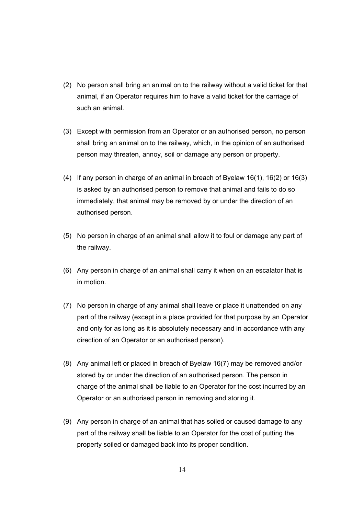- (2) No person shall bring an animal on to the railway without a valid ticket for that animal, if an Operator requires him to have a valid ticket for the carriage of such an animal.
- (3) Except with permission from an Operator or an authorised person, no person shall bring an animal on to the railway, which, in the opinion of an authorised person may threaten, annoy, soil or damage any person or property.
- (4) If any person in charge of an animal in breach of Byelaw 16(1), 16(2) or 16(3) is asked by an authorised person to remove that animal and fails to do so immediately, that animal may be removed by or under the direction of an authorised person.
- (5) No person in charge of an animal shall allow it to foul or damage any part of the railway.
- (6) Any person in charge of an animal shall carry it when on an escalator that is in motion.
- (7) No person in charge of any animal shall leave or place it unattended on any part of the railway (except in a place provided for that purpose by an Operator and only for as long as it is absolutely necessary and in accordance with any direction of an Operator or an authorised person).
- (8) Any animal left or placed in breach of Byelaw 16(7) may be removed and/or stored by or under the direction of an authorised person. The person in charge of the animal shall be liable to an Operator for the cost incurred by an Operator or an authorised person in removing and storing it.
- (9) Any person in charge of an animal that has soiled or caused damage to any part of the railway shall be liable to an Operator for the cost of putting the property soiled or damaged back into its proper condition.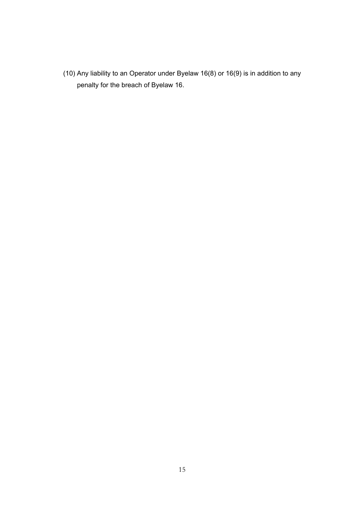(10) Any liability to an Operator under Byelaw 16(8) or 16(9) is in addition to any penalty for the breach of Byelaw 16.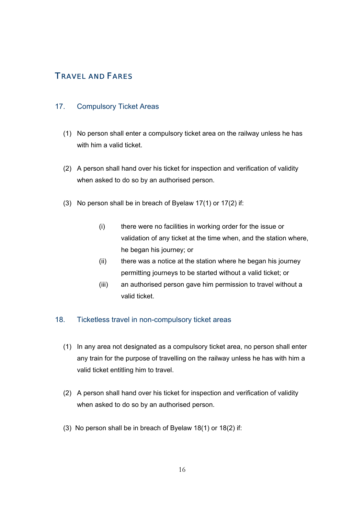# TRAVEL AND FARES

## 17. Compulsory Ticket Areas

- (1) No person shall enter a compulsory ticket area on the railway unless he has with him a valid ticket.
- (2) A person shall hand over his ticket for inspection and verification of validity when asked to do so by an authorised person.
- (3) No person shall be in breach of Byelaw 17(1) or 17(2) if:
	- (i) there were no facilities in working order for the issue or validation of any ticket at the time when, and the station where, he began his journey; or
	- (ii) there was a notice at the station where he began his journey permitting journeys to be started without a valid ticket; or
	- (iii) an authorised person gave him permission to travel without a valid ticket.

#### 18. Ticketless travel in non-compulsory ticket areas

- (1) In any area not designated as a compulsory ticket area, no person shall enter any train for the purpose of travelling on the railway unless he has with him a valid ticket entitling him to travel.
- (2) A person shall hand over his ticket for inspection and verification of validity when asked to do so by an authorised person.
- (3) No person shall be in breach of Byelaw 18(1) or 18(2) if: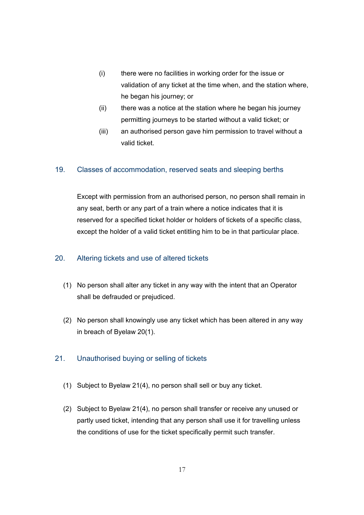- (i) there were no facilities in working order for the issue or validation of any ticket at the time when, and the station where, he began his journey; or
- (ii) there was a notice at the station where he began his journey permitting journeys to be started without a valid ticket; or
- (iii) an authorised person gave him permission to travel without a valid ticket.

# 19. Classes of accommodation, reserved seats and sleeping berths

Except with permission from an authorised person, no person shall remain in any seat, berth or any part of a train where a notice indicates that it is reserved for a specified ticket holder or holders of tickets of a specific class, except the holder of a valid ticket entitling him to be in that particular place.

# 20. Altering tickets and use of altered tickets

- (1) No person shall alter any ticket in any way with the intent that an Operator shall be defrauded or prejudiced.
- (2) No person shall knowingly use any ticket which has been altered in any way in breach of Byelaw 20(1).

# 21. Unauthorised buying or selling of tickets

- (1) Subject to Byelaw 21(4), no person shall sell or buy any ticket.
- (2) Subject to Byelaw 21(4), no person shall transfer or receive any unused or partly used ticket, intending that any person shall use it for travelling unless the conditions of use for the ticket specifically permit such transfer.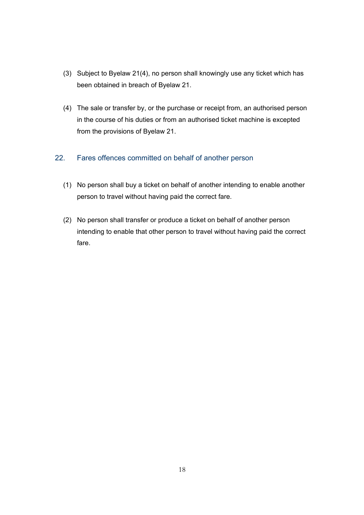- (3) Subject to Byelaw 21(4), no person shall knowingly use any ticket which has been obtained in breach of Byelaw 21.
- (4) The sale or transfer by, or the purchase or receipt from, an authorised person in the course of his duties or from an authorised ticket machine is excepted from the provisions of Byelaw 21.

# 22. Fares offences committed on behalf of another person

- (1) No person shall buy a ticket on behalf of another intending to enable another person to travel without having paid the correct fare.
- (2) No person shall transfer or produce a ticket on behalf of another person intending to enable that other person to travel without having paid the correct fare.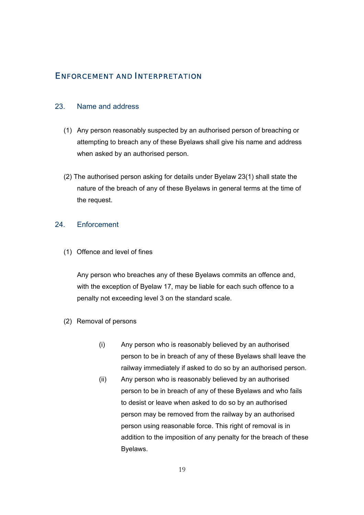# ENFORCEMENT AND INTERPRETATION

#### 23. Name and address

- (1) Any person reasonably suspected by an authorised person of breaching or attempting to breach any of these Byelaws shall give his name and address when asked by an authorised person.
- (2) The authorised person asking for details under Byelaw 23(1) shall state the nature of the breach of any of these Byelaws in general terms at the time of the request.

## 24. Enforcement

(1) Offence and level of fines

Any person who breaches any of these Byelaws commits an offence and, with the exception of Byelaw 17, may be liable for each such offence to a penalty not exceeding level 3 on the standard scale.

- (2) Removal of persons
	- (i) Any person who is reasonably believed by an authorised person to be in breach of any of these Byelaws shall leave the railway immediately if asked to do so by an authorised person.
	- (ii) Any person who is reasonably believed by an authorised person to be in breach of any of these Byelaws and who fails to desist or leave when asked to do so by an authorised person may be removed from the railway by an authorised person using reasonable force. This right of removal is in addition to the imposition of any penalty for the breach of these Byelaws.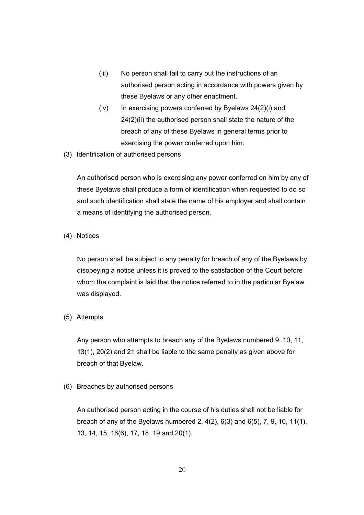- (iii) No person shall fail to carry out the instructions of an authorised person acting in accordance with powers given by these Byelaws or any other enactment.
- $(iv)$  In exercising powers conferred by Byelaws  $24(2)(i)$  and 24(2)(ii) the authorised person shall state the nature of the breach of any of these Byelaws in general terms prior to exercising the power conferred upon him.
- (3) Identification of authorised persons

An authorised person who is exercising any power conferred on him by any of these Byelaws shall produce a form of identification when requested to do so and such identification shall state the name of his employer and shall contain a means of identifying the authorised person.

(4) Notices

No person shall be subject to any penalty for breach of any of the Byelaws by disobeying a notice unless it is proved to the satisfaction of the Court before whom the complaint is laid that the notice referred to in the particular Byelaw was displayed.

(5) Attempts

Any person who attempts to breach any of the Byelaws numbered 9, 10, 11, 13(1), 20(2) and 21 shall be liable to the same penalty as given above for breach of that Byelaw.

(6) Breaches by authorised persons

An authorised person acting in the course of his duties shall not be liable for breach of any of the Byelaws numbered 2, 4(2), 6(3) and 6(5), 7, 9, 10, 11(1), 13, 14, 15, 16(6), 17, 18, 19 and 20(1).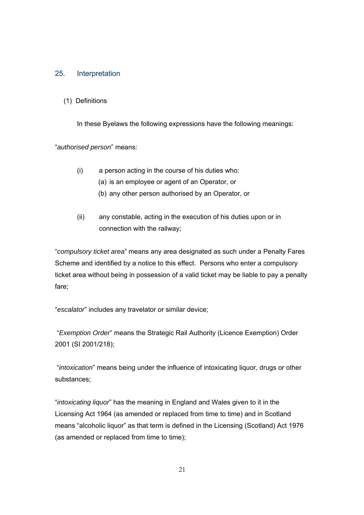#### 25. Interpretation

(1) Definitions

In these Byelaws the following expressions have the following meanings:

"*authorised person*" means:

- (i) a person acting in the course of his duties who:
	- (a) is an employee or agent of an Operator, or
	- (b) any other person authorised by an Operator, or
- (ii) any constable, acting in the execution of his duties upon or in connection with the railway;

"*compulsory ticket area*" means any area designated as such under a Penalty Fares Scheme and identified by a notice to this effect. Persons who enter a compulsory ticket area without being in possession of a valid ticket may be liable to pay a penalty fare;

"*escalator*" includes any travelator or similar device;

"*Exemption Order*" means the Strategic Rail Authority (Licence Exemption) Order 2001 (SI 2001/218);

 "*intoxication*" means being under the influence of intoxicating liquor, drugs or other substances;

"*intoxicating liquor*" has the meaning in England and Wales given to it in the Licensing Act 1964 (as amended or replaced from time to time) and in Scotland means "alcoholic liquor" as that term is defined in the Licensing (Scotland) Act 1976 (as amended or replaced from time to time);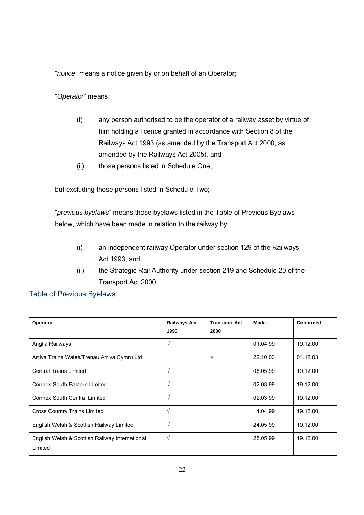"*notice*" means a notice given by or on behalf of an Operator;

"*Operator*" means:

- (i) any person authorised to be the operator of a railway asset by virtue of him holding a licence granted in accordance with Section 8 of the Railways Act 1993 (as amended by the Transport Act 2000; as amended by the Railways Act 2005), and
- (ii) those persons listed in Schedule One,

but excluding those persons listed in Schedule Two;

"*previous byelaws*" means those byelaws listed in the Table of Previous Byelaws below, which have been made in relation to the railway by:

- (i) an independent railway Operator under section 129 of the Railways Act 1993, and
- (ii) the Strategic Rail Authority under section 219 and Schedule 20 of the Transport Act 2000;

# Table of Previous Byelaws

| Operator                                                  | <b>Railways Act</b><br>1993 | <b>Transport Act</b><br>2000 | Made     | <b>Confirmed</b> |
|-----------------------------------------------------------|-----------------------------|------------------------------|----------|------------------|
| Anglia Railways                                           | $\sqrt{ }$                  |                              | 01.04.99 | 19.12.00         |
| Arriva Trains Wales/Trenau Arriva Cymru Ltd.              |                             | $\sqrt{ }$                   | 22.10.03 | 04.12.03         |
| <b>Central Trains Limited</b>                             | V                           |                              | 06.05.99 | 19.12.00         |
| <b>Connex South Eastern Limited</b>                       | $\sqrt{ }$                  |                              | 02.03.99 | 19.12.00         |
| <b>Connex South Central Limited</b>                       | $\sqrt{ }$                  |                              | 02.03.99 | 19.12.00         |
| <b>Cross Country Trains Limited</b>                       | V                           |                              | 14.04.99 | 19.12.00         |
| English Welsh & Scottish Railway Limited                  | $\sqrt{ }$                  |                              | 24.05.99 | 19.12.00         |
| English Welsh & Scottish Railway International<br>Limited | $\sqrt{ }$                  |                              | 28.05.99 | 19.12.00         |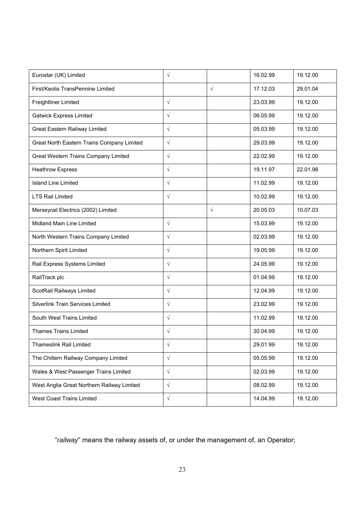| Eurostar (UK) Limited                      | $\sqrt{}$  |           | 16.02.99 | 19.12.00 |
|--------------------------------------------|------------|-----------|----------|----------|
| First/Keolis TransPennine Limited          |            | $\sqrt{}$ | 17.12.03 | 29.01.04 |
| <b>Freightliner Limited</b>                | $\sqrt{ }$ |           | 23.03.99 | 19.12.00 |
| <b>Gatwick Express Limited</b>             | $\sqrt{ }$ |           | 06.05.99 | 19.12.00 |
| Great Eastern Railway Limited              | $\sqrt{ }$ |           | 05.03.99 | 19.12.00 |
| Great North Eastern Trains Company Limited | $\sqrt{ }$ |           | 29.03.99 | 19.12.00 |
| Great Western Trains Company Limited       | $\sqrt{}$  |           | 22.02.99 | 19.12.00 |
| <b>Heathrow Express</b>                    | $\sqrt{ }$ |           | 19.11.97 | 22.01.98 |
| <b>Island Line Limited</b>                 | $\sqrt{ }$ |           | 11.02.99 | 19.12.00 |
| <b>LTS Rail Limited</b>                    | $\sqrt{ }$ |           | 10.02.99 | 19.12.00 |
| Merseyrail Electrics (2002) Limited        |            | $\sqrt{}$ | 20.05.03 | 10.07.03 |
| Midland Main Line Limited                  | $\sqrt{ }$ |           | 15.03.99 | 19.12.00 |
| North Western Trains Company Limited       | $\sqrt{ }$ |           | 02.03.99 | 19.12.00 |
| Northern Spirit Limited                    | $\sqrt{ }$ |           | 19.05.99 | 19.12.00 |
| Rail Express Systems Limited               | $\sqrt{ }$ |           | 24.05.99 | 19.12.00 |
| RailTrack plc                              | $\sqrt{ }$ |           | 01.04.99 | 19.12.00 |
| ScotRail Railways Limited                  | $\sqrt{ }$ |           | 12.04.99 | 19.12.00 |
| Silverlink Train Services Limited          | $\sqrt{ }$ |           | 23.02.99 | 19.12.00 |
| South West Trains Limited                  | $\sqrt{ }$ |           | 11.02.99 | 19.12.00 |
| <b>Thames Trains Limited</b>               | $\sqrt{ }$ |           | 30.04.99 | 19.12.00 |
| <b>Thameslink Rail Limited</b>             | $\sqrt{ }$ |           | 29.01.99 | 19.12.00 |
| The Chiltern Railway Company Limited       | $\sqrt{ }$ |           | 05.05.99 | 19.12.00 |
| Wales & West Passenger Trains Limited      | $\sqrt{ }$ |           | 02.03.99 | 19.12.00 |
| West Anglia Great Northern Railway Limited | $\sqrt{ }$ |           | 08.02.99 | 19.12.00 |
| West Coast Trains Limited                  | $\sqrt{ }$ |           | 14.04.99 | 19.12.00 |

"*railway*" means the railway assets of, or under the management of, an Operator;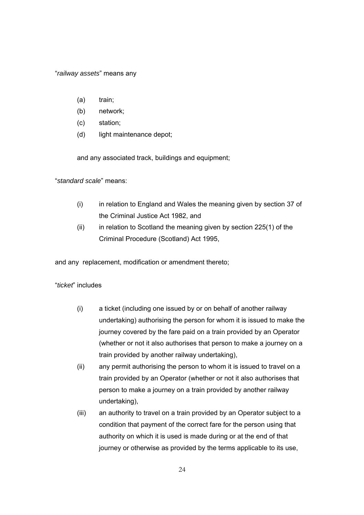"*railway assets*" means any

- (a) train;
- (b) network;
- (c) station;
- (d) light maintenance depot;

and any associated track, buildings and equipment;

"*standard scale*" means:

- (i) in relation to England and Wales the meaning given by section 37 of the Criminal Justice Act 1982, and
- (ii) in relation to Scotland the meaning given by section 225(1) of the Criminal Procedure (Scotland) Act 1995,

and any replacement, modification or amendment thereto;

# "*ticket*" includes

- (i) a ticket (including one issued by or on behalf of another railway undertaking) authorising the person for whom it is issued to make the journey covered by the fare paid on a train provided by an Operator (whether or not it also authorises that person to make a journey on a train provided by another railway undertaking),
- (ii) any permit authorising the person to whom it is issued to travel on a train provided by an Operator (whether or not it also authorises that person to make a journey on a train provided by another railway undertaking),
- (iii) an authority to travel on a train provided by an Operator subject to a condition that payment of the correct fare for the person using that authority on which it is used is made during or at the end of that journey or otherwise as provided by the terms applicable to its use,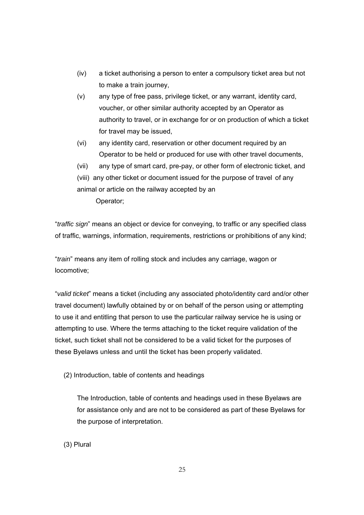- (iv) a ticket authorising a person to enter a compulsory ticket area but not to make a train journey,
- (v) any type of free pass, privilege ticket, or any warrant, identity card, voucher, or other similar authority accepted by an Operator as authority to travel, or in exchange for or on production of which a ticket for travel may be issued,
- (vi) any identity card, reservation or other document required by an Operator to be held or produced for use with other travel documents,
- (vii) any type of smart card, pre-pay, or other form of electronic ticket, and (viii)any other ticket or document issued for the purpose of travel of any animal or article on the railway accepted by an Operator;

"*traffic sign*" means an object or device for conveying, to traffic or any specified class of traffic, warnings, information, requirements, restrictions or prohibitions of any kind;

"*train*" means any item of rolling stock and includes any carriage, wagon or locomotive;

"*valid ticket*" means a ticket (including any associated photo/identity card and/or other travel document) lawfully obtained by or on behalf of the person using or attempting to use it and entitling that person to use the particular railway service he is using or attempting to use. Where the terms attaching to the ticket require validation of the ticket, such ticket shall not be considered to be a valid ticket for the purposes of these Byelaws unless and until the ticket has been properly validated.

(2) Introduction, table of contents and headings

The Introduction, table of contents and headings used in these Byelaws are for assistance only and are not to be considered as part of these Byelaws for the purpose of interpretation.

(3) Plural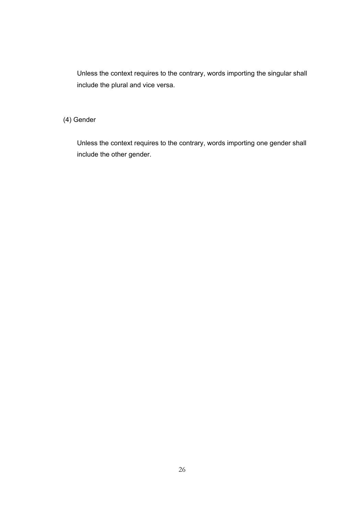Unless the context requires to the contrary, words importing the singular shall include the plural and vice versa.

# (4) Gender

Unless the context requires to the contrary, words importing one gender shall include the other gender.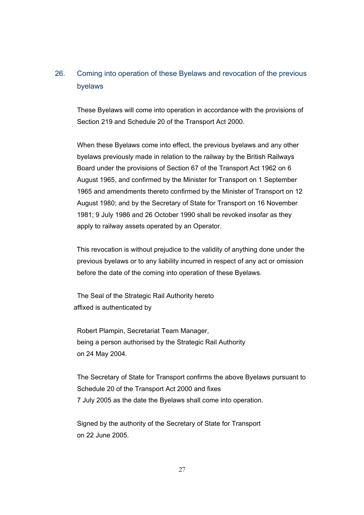# 26. Coming into operation of these Byelaws and revocation of the previous byelaws

These Byelaws will come into operation in accordance with the provisions of Section 219 and Schedule 20 of the Transport Act 2000.

When these Byelaws come into effect, the previous byelaws and any other byelaws previously made in relation to the railway by the British Railways Board under the provisions of Section 67 of the Transport Act 1962 on 6 August 1965, and confirmed by the Minister for Transport on 1 September 1965 and amendments thereto confirmed by the Minister of Transport on 12 August 1980; and by the Secretary of State for Transport on 16 November 1981; 9 July 1986 and 26 October 1990 shall be revoked insofar as they apply to railway assets operated by an Operator.

This revocation is without prejudice to the validity of anything done under the previous byelaws or to any liability incurred in respect of any act or omission before the date of the coming into operation of these Byelaws.

The Seal of the Strategic Rail Authority hereto affixed is authenticated by

Robert Plampin, Secretariat Team Manager, being a person authorised by the Strategic Rail Authority on 24 May 2004.

The Secretary of State for Transport confirms the above Byelaws pursuant to Schedule 20 of the Transport Act 2000 and fixes 7 July 2005 as the date the Byelaws shall come into operation.

Signed by the authority of the Secretary of State for Transport on 22 June 2005.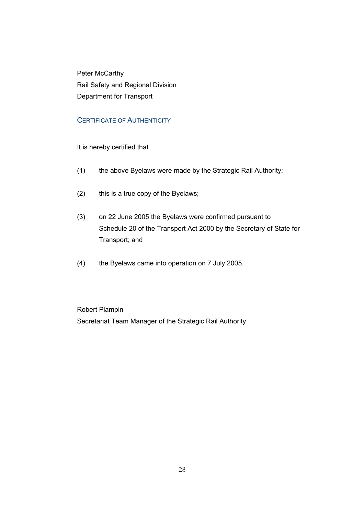Peter McCarthy Rail Safety and Regional Division Department for Transport

# CERTIFICATE OF AUTHENTICITY

It is hereby certified that

- (1) the above Byelaws were made by the Strategic Rail Authority;
- (2) this is a true copy of the Byelaws;
- (3) on 22 June 2005 the Byelaws were confirmed pursuant to Schedule 20 of the Transport Act 2000 by the Secretary of State for Transport; and
- (4) the Byelaws came into operation on 7 July 2005.

 Robert Plampin Secretariat Team Manager of the Strategic Rail Authority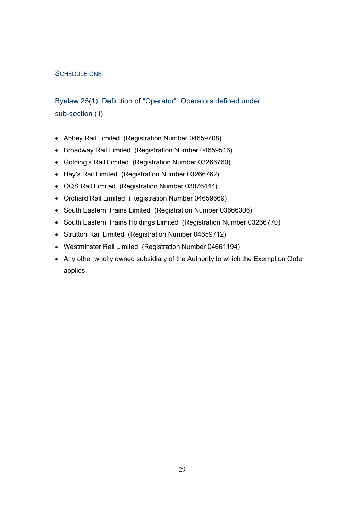## SCHEDULE ONE

# Byelaw 25(1), Definition of "Operator": Operators defined under sub-section (ii)

- Abbey Rail Limited (Registration Number 04659708)
- Broadway Rail Limited (Registration Number 04659516)
- Golding's Rail Limited (Registration Number 03266760)
- Hay's Rail Limited (Registration Number 03266762)
- OQS Rail Limited (Registration Number 03076444)
- Orchard Rail Limited (Registration Number 04659669)
- South Eastern Trains Limited (Registration Number 03666306)
- South Eastern Trains Holdings Limited (Registration Number 03266770)
- Strutton Rail Limited (Registration Number 04659712)
- Westminster Rail Limited (Registration Number 04661194)
- Any other wholly owned subsidiary of the Authority to which the Exemption Order applies.